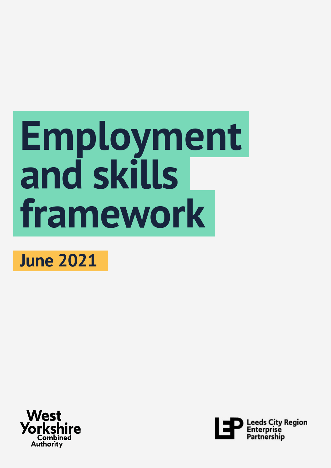# **Employment and skills framework**

## **June 2021**



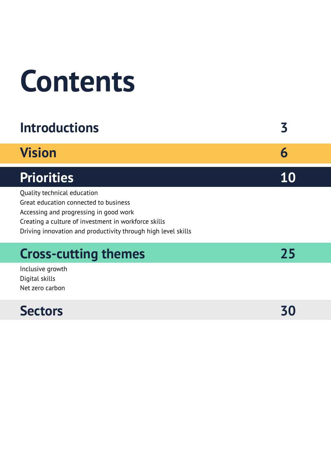# **Contents**

## **Introductions 3**

## **[Vision 6](#page-5-0)**

## [Priorities 10](#page-9-0)

[Quality technical education](#page-9-0) [Great education connected to business](#page-12-0) [Accessing and progressing in good work](#page-15-0) [Creating a culture of investment in workforce skills](#page-18-0) [Driving innovation and productivity through high level skills](#page-21-0)

## **Cross-cutting themes** 25

[Inclusive growth](#page-25-0) [Digital skills](#page-26-0) [Net zero carbon](#page-27-0)

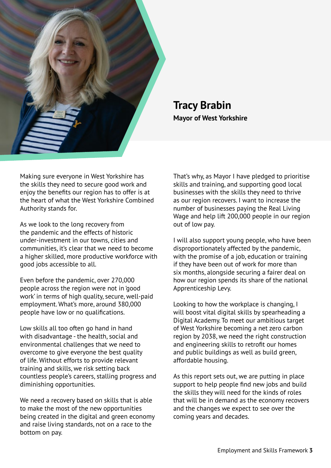

### **Tracy Brabin Mayor of West Yorkshire**

Making sure everyone in West Yorkshire has the skills they need to secure good work and enjoy the benefits our region has to offer is at the heart of what the West Yorkshire Combined Authority stands for.

As we look to the long recovery from the pandemic and the effects of historic under-investment in our towns, cities and communities, it's clear that we need to become a higher skilled, more productive workforce with good jobs accessible to all.

Even before the pandemic, over 270,000 people across the region were not in 'good work' in terms of high quality, secure, well-paid employment. What's more, around 380,000 people have low or no qualifications.

Low skills all too often go hand in hand with disadvantage - the health, social and environmental challenges that we need to overcome to give everyone the best quality of life. Without efforts to provide relevant training and skills, we risk setting back countless people's careers, stalling progress and diminishing opportunities.

We need a recovery based on skills that is able to make the most of the new opportunities being created in the digital and green economy and raise living standards, not on a race to the bottom on pay.

That's why, as Mayor I have pledged to prioritise skills and training, and supporting good local businesses with the skills they need to thrive as our region recovers. I want to increase the number of businesses paying the Real Living Wage and help lift 200,000 people in our region out of low pay.

I will also support young people, who have been disproportionately affected by the pandemic, with the promise of a job, education or training if they have been out of work for more than six months, alongside securing a fairer deal on how our region spends its share of the national Apprenticeship Levy.

Looking to how the workplace is changing, I will boost vital digital skills by spearheading a Digital Academy. To meet our ambitious target of West Yorkshire becoming a net zero carbon region by 2038, we need the right construction and engineering skills to retrofit our homes and public buildings as well as build green, affordable housing.

As this report sets out, we are putting in place support to help people find new jobs and build the skills they will need for the kinds of roles that will be in demand as the economy recovers and the changes we expect to see over the coming years and decades.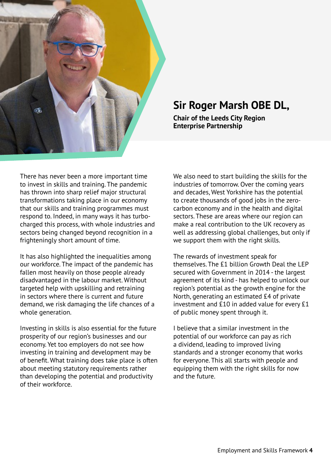

## **Sir Roger Marsh OBE DL,**

**Chair of the Leeds City Region Enterprise Partnership**

There has never been a more important time to invest in skills and training. The pandemic has thrown into sharp relief major structural transformations taking place in our economy that our skills and training programmes must respond to. Indeed, in many ways it has turbocharged this process, with whole industries and sectors being changed beyond recognition in a frighteningly short amount of time.

It has also highlighted the inequalities among our workforce. The impact of the pandemic has fallen most heavily on those people already disadvantaged in the labour market. Without targeted help with upskilling and retraining in sectors where there is current and future demand, we risk damaging the life chances of a whole generation.

Investing in skills is also essential for the future prosperity of our region's businesses and our economy. Yet too employers do not see how investing in training and development may be of benefit. What training does take place is often about meeting statutory requirements rather than developing the potential and productivity of their workforce.

We also need to start building the skills for the industries of tomorrow. Over the coming years and decades, West Yorkshire has the potential to create thousands of good jobs in the zerocarbon economy and in the health and digital sectors. These are areas where our region can make a real contribution to the UK recovery as well as addressing global challenges, but only if we support them with the right skills.

The rewards of investment speak for themselves. The £1 billion Growth Deal the LEP secured with Government in 2014 - the largest agreement of its kind - has helped to unlock our region's potential as the growth engine for the North, generating an estimated £4 of private investment and £10 in added value for every £1 of public money spent through it.

I believe that a similar investment in the potential of our workforce can pay as rich a dividend, leading to improved living standards and a stronger economy that works for everyone. This all starts with people and equipping them with the right skills for now and the future.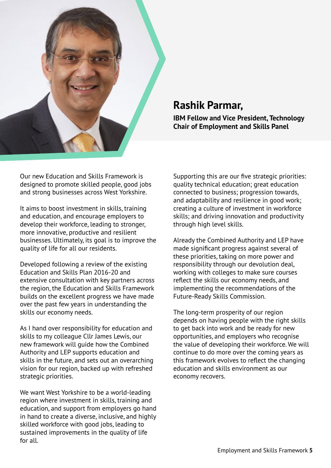

### **Rashik Parmar,**

**IBM Fellow and Vice President, Technology Chair of Employment and Skills Panel** 

Our new Education and Skills Framework is designed to promote skilled people, good jobs and strong businesses across West Yorkshire.

It aims to boost investment in skills, training and education, and encourage employers to develop their workforce, leading to stronger, more innovative, productive and resilient businesses. Ultimately, its goal is to improve the quality of life for all our residents.

Developed following a review of the existing Education and Skills Plan 2016-20 and extensive consultation with key partners across the region, the Education and Skills Framework builds on the excellent progress we have made over the past few years in understanding the skills our economy needs.

As I hand over responsibility for education and skills to my colleague Cllr James Lewis, our new framework will guide how the Combined Authority and LEP supports education and skills in the future, and sets out an overarching vision for our region, backed up with refreshed strategic priorities.

We want West Yorkshire to be a world-leading region where investment in skills, training and education, and support from employers go hand in hand to create a diverse, inclusive, and highly skilled workforce with good jobs, leading to sustained improvements in the quality of life for all.

Supporting this are our five strategic priorities: quality technical education; great education connected to business; progression towards, and adaptability and resilience in good work; creating a culture of investment in workforce skills; and driving innovation and productivity through high level skills.

Already the Combined Authority and LEP have made significant progress against several of these priorities, taking on more power and responsibility through our devolution deal, working with colleges to make sure courses reflect the skills our economy needs, and implementing the recommendations of the Future-Ready Skills Commission.

The long-term prosperity of our region depends on having people with the right skills to get back into work and be ready for new opportunities, and employers who recognise the value of developing their workforce. We will continue to do more over the coming years as this framework evolves to reflect the changing education and skills environment as our economy recovers.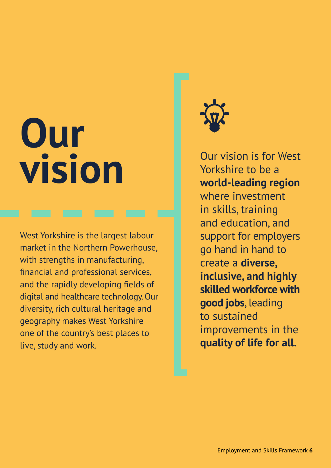# <span id="page-5-0"></span>**Our vision**

West Yorkshire is the largest labour market in the Northern Powerhouse, with strengths in manufacturing, financial and professional services, and the rapidly developing fields of digital and healthcare technology. Our diversity, rich cultural heritage and geography makes West Yorkshire one of the country's best places to live, study and work.



Our vision is for West Yorkshire to be a **world-leading region** where investment in skills, training and education, and support for employers go hand in hand to create a **diverse, inclusive, and highly skilled workforce with good jobs**, leading to sustained improvements in the **quality of life for all.**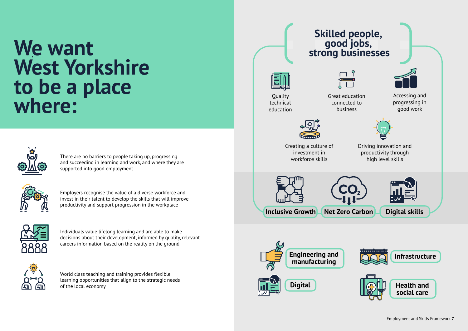## **We want West Yorkshire to be a place where:**



There are no barriers to people taking up, progressing and succeeding in learning and work, and where they are supported into good employment



Employers recognise the value of a diverse workforce and invest in their talent to develop the skills that will improve productivity and support progression in the workplace



Individuals value lifelong learning and are able to make decisions about their development, informed by quality, relevant careers information based on the reality on the ground



World class teaching and training provides flexible learning opportunities that align to the strategic needs of the local economy















investment in workforce skills





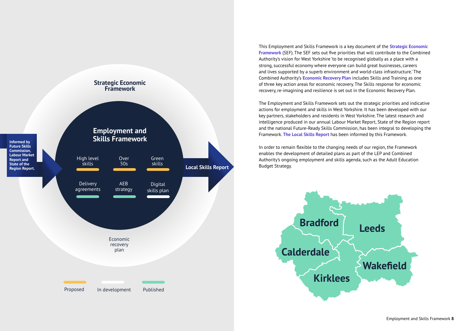This Employment and Skills Framework is a key document of the **[Strategic Economic](https://www.westyorks-ca.gov.uk/growing-the-economy/strategic-economic-framework/)  [Framework](https://www.westyorks-ca.gov.uk/growing-the-economy/strategic-economic-framework/)** (SEF). The SEF sets out five priorities that will contribute to the Combined Authority's vision for West Yorkshire 'to be recognised globally as a place with a strong, successful economy where everyone can build great businesses, careers and lives supported by a superb environment and world-class infrastructure.' The Combined Authority's **[Economic Recovery Plan](https://www.westyorks-ca.gov.uk/growing-the-economy/strategic-economic-framework/policies-and-strategies/economic-and-transport-recovery/)** includes Skills and Training as one of three key action areas for economic recovery. The Skills response for economic recovery, re-imagining and resilience is set out in the Economic Recovery Plan.

The Employment and Skills Framework sets out the strategic priorities and indicative actions for employment and skills in West Yorkshire. It has been developed with our key partners, stakeholders and residents in West Yorkshire. The latest research and intelligence produced in our annual Labour Market Report, State of the Region report and the national Future-Ready Skills Commission, has been integral to developing the Framework. **[The Local Skills Report](https://www.westyorks-ca.gov.uk/media/6033/local-skills-report-final.pdf)** has been informed by this Framework.

In order to remain flexible to the changing needs of our region, the Framework enables the development of detailed plans as part of the LEP and Combined Authority's ongoing employment and skills agenda, such as the Adult Education Budget Strategy.



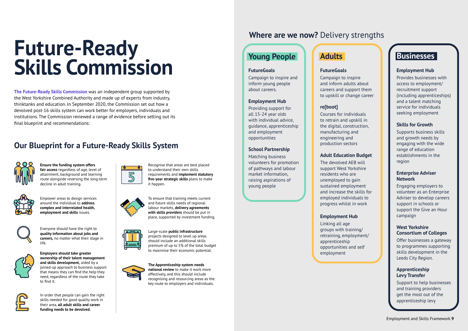**[The Future-Ready Skills Commission](http://futurereadyskillscommission.com/)** was an independent group supported by the West Yorkshire Combined Authority and made up of experts from industry, thinktanks and education. In September 2020, the Commission set out how a devolved post-16 skills system can work better for employers, individuals and institutions. The Commission reviewed a range of evidence before setting out its final blueprint and recommendations:

## **Future-Ready Skills Commission**



**Ensure the funding system offers fair access** regardless of age, level of attainment, background and learning route alongside reversing the long-term decline in adult training.



Empower areas to design services around the individual to **address complex and interrelated health, employment and skills** issues.



Everyone should have the right to **quality information about jobs and careers,** no matter what their stage in life.



**Employers should take greater ownership of their talent management and skills development,** aided by a joined-up approach to business support that means they can find the help they need, regardless of the route they take to find it.



## **Our Blueprint for a Future-Ready Skills System**

In order that people can gain the right skills needed for good quality work in their area, **all adult skills and career funding needs to be devolved.** 



Recognise that areas are best placed to understand their own skills requirements and **implement statutory five-year strategic skills** plans to make it happen.



To ensure that training meets current and future skills needs of regional labour markets, **delivery agreements with skills providers** should be put in place, supported by investment funding.



Large-scale **public infrastructure**  projects designed to level up areas should include an additional skills premium of up to 5% of the total budget to maximise their economic potential.



**The Apprenticeship system needs national review** to make it work more effectively, and this should include recognising and resourcing areas as the key route to employers and individuals.

## **Where are we now?** Delivery strengths

## **Young People | Adults Businesses**

#### **FutureGoals**

Campaign to inspire and inform young people about careers.

#### **Employment Hub**

Providing support for all 15-24 year olds with individual advice, guidance, apprenticeship and employment opportunities

#### **School Partnership**

Matching business volunteers for promotion of pathways and labour market information, raising aspirations of young people

#### **FutureGoals**

Campaign to inspire and inform adults about careers and support them to upskill or change career

### **re[boot]**

Courses for individuals to retrain and upskill in the digital, construction, manufacturing and engineering and production sectors

#### **Adult Education Budget**

The devolved AEB will support West Yorkshire residents who are unemployed to gain sustained employment and increase the skills for employed individuals to progress whilst in work

#### **Employment Hub**

Linking all age groups with training/ retraining, employment/ apprenticeship opportunities and self employment



#### **Employment Hub**

Provides businesses with access to employment/ recruitment support (including apprenticeships) and a talent matching service for individuals seeking employment

#### **Skills for Growth**

Supports business skills and growth needs by engaging with the wide range of education establishments in the region

#### **Enterprise Adviser Network**

Engaging employers to volunteer as an Enterprise Adviser to develop careers support in schools or support the Give an Hour campaign

#### **West Yorkshire Consortium of Colleges**

Offer businesses a gateway to programmes supporting skills development in the Leeds City Region.

#### **Apprenticeship Levy Transfer**

Support to help businesses and training providers get the most out of the apprenticeship levy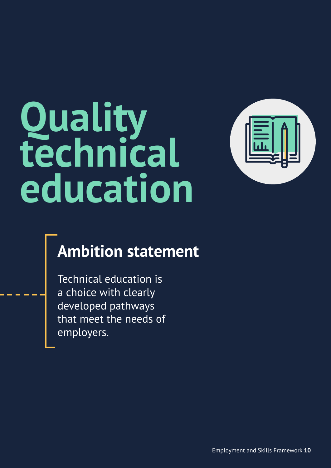# <span id="page-9-0"></span>**Quality technical education**



## **Ambition statement**

Technical education is a choice with clearly developed pathways that meet the needs of employers.

Employment and Skills Framework **10**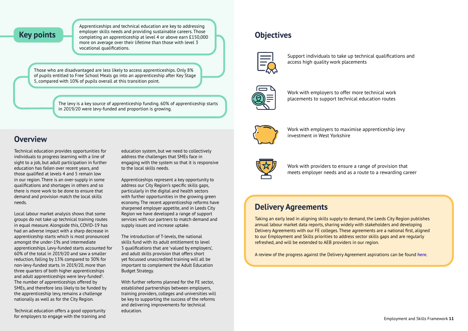### **Key points**

Apprenticeships and technical education are key to addressing employer skills needs and providing sustainable careers. Those completing an apprenticeship at level 4 or above earn £150,000 more on average over their lifetime than those with level 3 vocational qualifications.

Those who are disadvantaged are less likely to access apprenticeships. Only 8% of pupils entitled to Free School Meals go into an apprenticeship after Key Stage 5, compared with 10% of pupils overall at this transition point.

> The levy is a key source of apprenticeship funding. 60% of apprenticeship starts in 2019/20 were levy-funded and proportion is growing.

Technical education provides opportunities for individuals to progress learning with a line of sight to a job, but adult participation in further education has fallen over recent years, and those qualified at levels 4 and 5 remain low in our region. There is an over-supply in some qualifications and shortages in others and so there is more work to be done to ensure that demand and provision match the local skills needs.

Local labour market analysis shows that some groups do not take up technical training routes in equal measure. Alongside this, COVID-19 has had an adverse impact with a sharp decrease in apprenticeship starts which is most pronounced amongst the under-19s and intermediate apprenticeships. Levy-funded starts accounted for 60% of the total in 2019/20 and saw a smaller reduction, falling by 13% compared to 30% for non-levy-funded starts. In 2019/20, more than three quarters of both higher apprenticeships and adult apprenticeships were levy-funded $1$ . The number of apprenticeships offered by SMEs, and therefore less likely to be funded by the apprenticeship levy, remains a challenge nationally as well as for the City Region.

Technical education offers a good opportunity for employers to engage with the training and education system, but we need to collectively address the challenges that SMEs face in engaging with the system so that it is responsive to the local skills needs.

Apprenticeships represent a key opportunity to address our City Region's specific skills gaps, particularly in the digital and health sectors with further opportunities in the growing green economy. The recent apprenticeship reforms have sharpened employer appetite, and in Leeds City Region we have developed a range of support services with our partners to match demand and supply issues and increase uptake.

The introduction of T-levels, the national skills fund with its adult entitlement to level 3 qualifications that are 'valued by employers', and adult skills provision that offers short yet focussed unaccredited training will all be important to complement the Adult Education Budget Strategy.

With further reforms planned for the FE sector, established partnerships between employers, training providers, colleges and universities will be key to supporting the success of the reforms and delivering improvements for technical education.

## **Overview**

## **Objectives**



Support individuals to take up technical qualifications and access high quality work placements



Work with employers to offer more technical work placements to support technical education routes



Work with employers to maximise apprenticeship levy investment in West Yorkshire

Work with providers to ensure a range of provision that meets employer needs and as a route to a rewarding career

Taking an early lead in aligning skills supply to demand, the Leeds City Region publishes annual labour market data reports, sharing widely with stakeholders and developing Delivery Agreements with our FE colleges. These agreements are a national first, aligned to our Employment and Skills priorities to address sector skills gaps and are regularly refreshed, and will be extended to AEB providers in our region.

A review of the progress against the Delivery Agreement aspirations can be found **[here](https://www.westyorks-ca.gov.uk/media/6077/delivery-agreement-report-2021.pdf)**.

## **Delivery Agreements**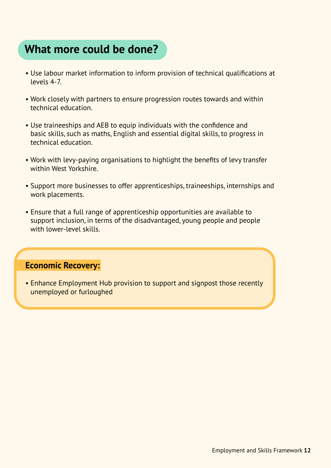## **What more could be done?**

- Use labour market information to inform provision of technical qualifications at levels 4-7.
- Work closely with partners to ensure progression routes towards and within technical education.
- Use traineeships and AEB to equip individuals with the confidence and basic skills, such as maths, English and essential digital skills, to progress in technical education.
- Work with levy-paying organisations to highlight the benefits of levy transfer within West Yorkshire.
- Support more businesses to offer apprenticeships, traineeships, internships and work placements.
- Ensure that a full range of apprenticeship opportunities are available to support inclusion, in terms of the disadvantaged, young people and people with lower-level skills.

### **Economic Recovery:**

• Enhance Employment Hub provision to support and signpost those recently unemployed or furloughed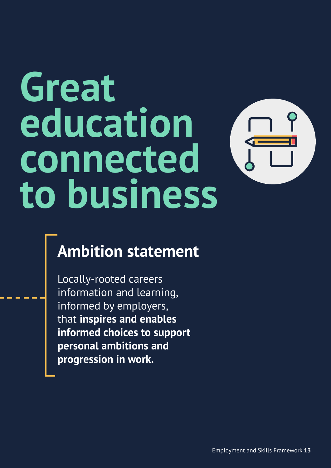# <span id="page-12-0"></span>**Great education connected to business**



## **Ambition statement**

Locally-rooted careers information and learning, informed by employers, that **inspires and enables informed choices to support personal ambitions and progression in work.**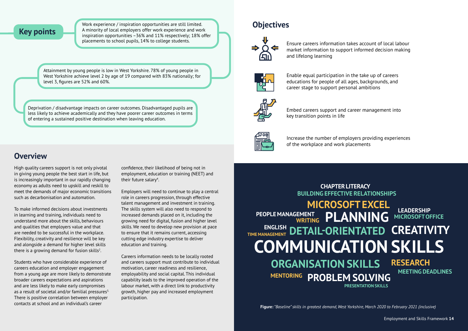### **Key points**

Work experience / inspiration opportunities are still limited. A minority of local employers offer work experience and work inspiration opportunities –36% and 11% respectively; 18% offer placements to school pupils, 14% to college students.

> **BUILDING EFFECTIVE RELATIONSHIPS MICROSOFT EXCEL PEOPLE MANAGEMENT COMMUNICATION SKILLS DETAIL-ORIENTATED ENGLISH TIME MANAGEMENT CREATIVITY ORGANISATION SKILLS RESEARCH MENTORING PROBLEM SOLVING**

Attainment by young people is low in West Yorkshire. 78% of young people in West Yorkshire achieve level 2 by age of 19 compared with 83% nationally; for level 3, figures are 52% and 60%.

Deprivation / disadvantage impacts on career outcomes. Disadvantaged pupils are less likely to achieve academically and they have poorer career outcomes in terms of entering a sustained positive destination when leaving education.

To make informed decisions about investments in learning and training, individuals need to understand more about the skills, behaviours and qualities that employers value and that are needed to be successful in the workplace. Flexibility, creativity and resilience will be key and alongside a demand for higher level skills there is a growing demand for fusion skills<sup>2</sup>.

## **CHAPTER LITERACY EMENT PLANNING** MICROSOFTON **MICROSOFT OFFICE MEETING DEADLINES PRESENTATION SKILLS**

confidence, their likelihood of being not in employment, education or training (NEET) and their future salary<sup>4</sup>.

High quality careers support is not only pivotal in giving young people the best start in life, but is increasingly important in our rapidly changing economy as adults need to upskill and reskill to meet the demands of major economic transitions such as decarbonisation and automation.

Students who have considerable experience of careers education and employer engagement from a young age are more likely to demonstrate broader careers expectations and aspirations and are less likely to make early compromises as a result of societal and/or familial pressures<sup>3.</sup> There is positive correlation between employer contacts at school and an individual's career

Employers will need to continue to play a central role in careers progression, through effective talent management and investment in training. The skills system will also need to respond to increased demands placed on it, including the growing need for digital, fusion and higher level skills. We need to develop new provision at pace to ensure that it remains current, accessing cutting edge industry expertise to deliver education and training.

Careers information needs to be locally rooted and careers support must contribute to individual motivation, career readiness and resilience, employability and social capital. This individual capability leads to the improved operation of the labour market, with a direct link to productivity growth, higher pay and increased employment participation.

## **Overview**

Employment and Skills Framework **14**

Ensure careers information takes account of local labour market information to support informed decision making and lifelong learning



Enable equal participation in the take up of careers educations for people of all ages, backgrounds, and career stage to support personal ambitions



Embed careers support and career management into key transition points in life



Increase the number of employers providing experiences of the workplace and work placements

## **Objectives**

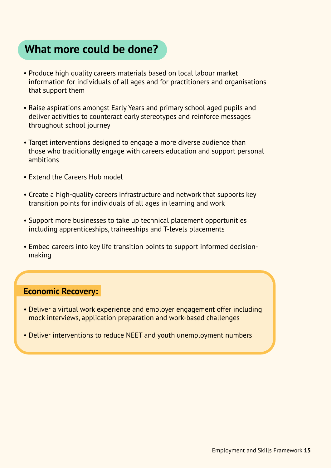## **What more could be done?**

- Produce high quality careers materials based on local labour market information for individuals of all ages and for practitioners and organisations that support them
- Raise aspirations amongst Early Years and primary school aged pupils and deliver activities to counteract early stereotypes and reinforce messages throughout school journey
- Target interventions designed to engage a more diverse audience than those who traditionally engage with careers education and support personal ambitions
- Extend the Careers Hub model
- Create a high-quality careers infrastructure and network that supports key transition points for individuals of all ages in learning and work
- Support more businesses to take up technical placement opportunities including apprenticeships, traineeships and T-levels placements
- Embed careers into key life transition points to support informed decisionmaking

### **Economic Recovery:**

- Deliver a virtual work experience and employer engagement offer including mock interviews, application preparation and work-based challenges
- Deliver interventions to reduce NEET and youth unemployment numbers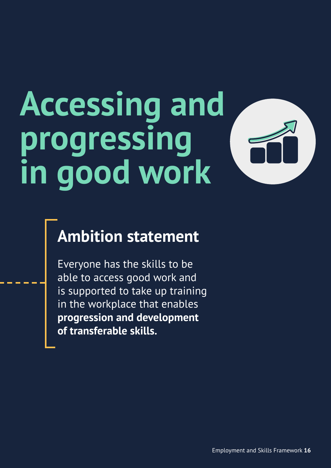# <span id="page-15-0"></span>**Accessing and progressing in good work**

## **Ambition statement**

Everyone has the skills to be able to access good work and is supported to take up training in the workplace that enables **progression and development of transferable skills.**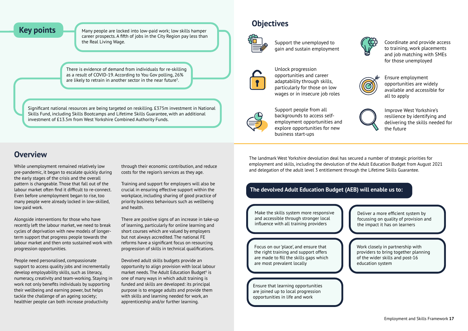Key points Many people are locked into low-paid work; low skills hamper career prospects. A fifth of jobs in the City Region pay less than the Real Living Wage.

> There is evidence of demand from individuals for re-skilling as a result of COVID-19. According to You Gov polling, 26% are likely to retrain in another sector in the near future<sup>5</sup>.

Significant national resources are being targeted on reskilling. £375m investment in National Skills Fund, including Skills Bootcamps and Lifetime Skills Guarantee, with an additional investment of £13.5m from West Yorkshire Combined Authority Funds.

While unemployment remained relatively low pre-pandemic, it began to escalate quickly during the early stages of the crisis and the overall pattern is changeable. Those that fall out of the labour market often find it difficult to re-connect. Even before unemployment began to rise, too many people were already locked in low-skilled, low paid work.

Alongside interventions for those who have recently left the labour market, we need to break cycles of deprivation with new models of longerterm support that progress people towards the labour market and then onto sustained work with progression opportunities.

People need personalised, compassionate support to access quality jobs and incrementally develop employability skills, such as literacy, numeracy, creativity and team-working. Staying in work not only benefits individuals by supporting their wellbeing and earning power, but helps tackle the challenge of an ageing society; healthier people can both increase productivity

through their economic contribution, and reduce costs for the region's services as they age.

Training and support for employers will also be crucial in ensuring effective support within the workplace, including sharing of good practice of priority business behaviours such as wellbeing and health.

There are positive signs of an increase in take-up of learning, particularly for online learning and short courses which are valued by employers but not always accredited. The national FE reforms have a significant focus on resourcing progression of skills in technical qualifications.

Devolved adult skills budgets provide an opportunity to align provision with local labour market needs. The Adult Education Budget<sup>6</sup> is one of many ways in which adult training is funded and skills are developed: its principal purpose is to engage adults and provide them with skills and learning needed for work, an apprenticeship and/or further learning.

## **Overview**

Support the unemployed to gain and sustain employment



Unlock progression opportunities and career adaptability through skills, particularly for those on low wages or in insecure job roles



Support people from all backgrounds to access selfemployment opportunities and explore opportunities for new business start-ups

Coordinate and provide access to training, work placements and job matching with SMEs for those unemployed



## **Objectives**



Ensure employment opportunities are widely available and accessible for all to apply



Improve West Yorkshire's resilience by identifying and delivering the skills needed for the future

The landmark West Yorkshire devolution deal has secured a number of strategic priorities for employment and skills, including the devolution of the Adult Education Budget from August 2021 and delegation of the adult level 3 entitlement through the Lifetime Skills Guarantee.

Make the skills system more responsive and accessible through stronger local influence with all training providers

Focus on our 'place', and ensure that the right training and support offers are made to fill the skills gaps which are most prevalent locally

Ensure that learning opportunities are joined up to local progression opportunities in life and work





### **The devolved Adult Education Budget (AEB) will enable us to:**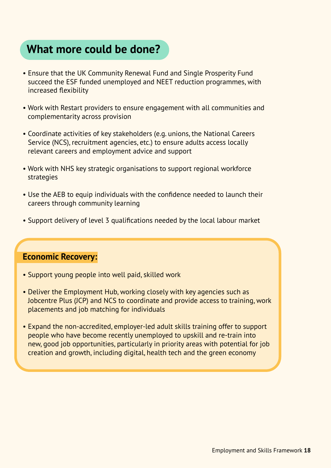## **What more could be done?**

- Ensure that the UK Community Renewal Fund and Single Prosperity Fund succeed the ESF funded unemployed and NEET reduction programmes, with increased flexibility
- Work with Restart providers to ensure engagement with all communities and complementarity across provision
- Coordinate activities of key stakeholders (e.g. unions, the National Careers Service (NCS), recruitment agencies, etc.) to ensure adults access locally relevant careers and employment advice and support
- Work with NHS key strategic organisations to support regional workforce strategies
- Use the AEB to equip individuals with the confidence needed to launch their careers through community learning
- Support delivery of level 3 qualifications needed by the local labour market

### **Economic Recovery:**

- Support young people into well paid, skilled work
- Deliver the Employment Hub, working closely with key agencies such as Jobcentre Plus (JCP) and NCS to coordinate and provide access to training, work placements and job matching for individuals
- Expand the non-accredited, employer-led adult skills training offer to support people who have become recently unemployed to upskill and re-train into new, good job opportunities, particularly in priority areas with potential for job creation and growth, including digital, health tech and the green economy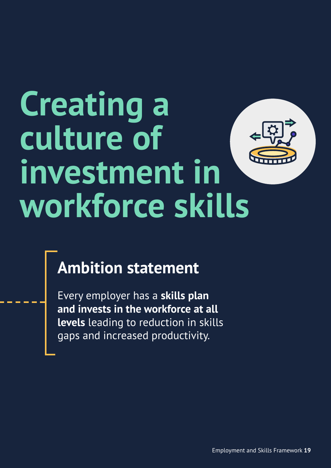# <span id="page-18-0"></span>**Creating a culture of investment in workforce skills**

## **Ambition statement**

Every employer has a **skills plan and invests in the workforce at all levels** leading to reduction in skills gaps and increased productivity.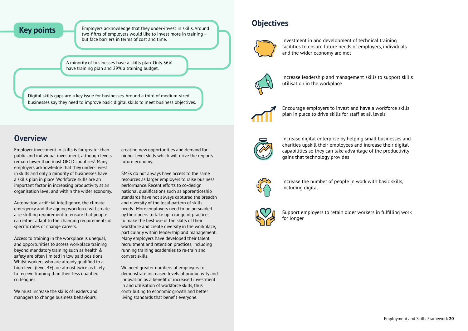**Key points** Employers acknowledge that they under-invest in skills. Around the straining two-fifths of employers would like to invest more in training – but face barriers in terms of cost and time.

> A minority of businesses have a skills plan. Only 36% have training plan and 29% a training budget.

Digital skills gaps are a key issue for businesses. Around a third of medium-sized businesses say they need to improve basic digital skills to meet business objectives.

Employer investment in skills is far greater than public and individual investment, although levels remain lower than most OECD countries<sup>7</sup>. Many employers acknowledge that they under-invest in skills and only a minority of businesses have a skills plan in place. Workforce skills are an important factor in increasing productivity at an organisation level and within the wider economy.

Automation, artificial intelligence, the climate emergency and the ageing workforce will create a re-skilling requirement to ensure that people can either adapt to the changing requirements of specific roles or change careers.

Access to training in the workplace is unequal, and opportunities to access workplace training beyond mandatory training such as health & safety are often limited in low paid positions. Whilst workers who are already qualified to a high level (level 4+) are almost twice as likely to receive training than their less qualified colleagues.

We must increase the skills of leaders and managers to change business behaviours,

creating new opportunities and demand for higher level skills which will drive the region's future economy.

SMEs do not always have access to the same resources as larger employers to raise business performance. Recent efforts to co-design national qualifications such as apprenticeship standards have not always captured the breadth and diversity of the local pattern of skills needs. More employers need to be persuaded by their peers to take up a range of practices to make the best use of the skills of their workforce and create diversity in the workplace, particularly within leadership and management. Many employers have developed their talent recruitment and retention practices, including running training academies to re-train and convert skills.

We need greater numbers of employers to demonstrate increased levels of productivity and innovation as a benefit of increased investment in and utilisation of workforce skills, thus contributing to economic growth and better living standards that benefit everyone.



## **Overview**

Investment in and development of technical training facilities to ensure future needs of employers, individuals and the wider economy are met



Increase leadership and management skills to support skills utilisation in the workplace



Encourage employers to invest and have a workforce skills plan in place to drive skills for staff at all levels

Increase digital enterprise by helping small businesses and charities upskill their employees and increase their digital capabilities so they can take advantage of the productivity , gains that technology provides



Increase the number of people in work with basic skills, including digital



Support employers to retain older workers in fulfilling work for longer

## **Objectives**

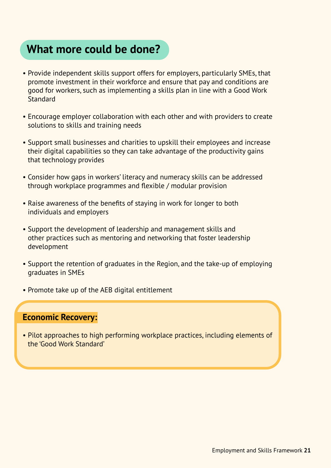## **What more could be done?**

- Provide independent skills support offers for employers, particularly SMEs, that promote investment in their workforce and ensure that pay and conditions are good for workers, such as implementing a skills plan in line with a Good Work **Standard**
- Encourage employer collaboration with each other and with providers to create solutions to skills and training needs
- Support small businesses and charities to upskill their employees and increase their digital capabilities so they can take advantage of the productivity gains that technology provides
- Consider how gaps in workers' literacy and numeracy skills can be addressed through workplace programmes and flexible / modular provision
- Raise awareness of the benefits of staying in work for longer to both individuals and employers
- Support the development of leadership and management skills and other practices such as mentoring and networking that foster leadership development
- Support the retention of graduates in the Region, and the take-up of employing graduates in SMEs
- Promote take up of the AEB digital entitlement

### **Economic Recovery:**

• Pilot approaches to high performing workplace practices, including elements of the 'Good Work Standard'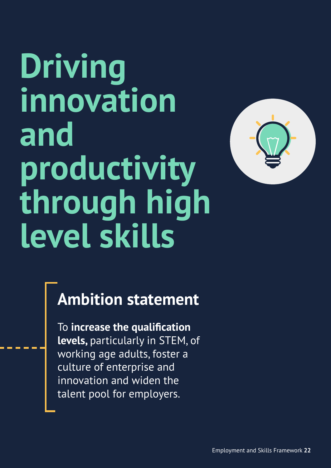# <span id="page-21-0"></span>**Driving innovation and productivity through high level skills**



## **Ambition statement**

To **increase the qualification levels,** particularly in STEM, of working age adults, foster a culture of enterprise and innovation and widen the talent pool for employers.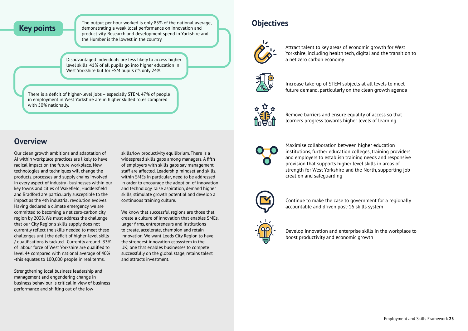The output per hour worked is only 85% of the national average,<br>**Key points** demonstrating a weak local performance on innovation and demonstrating a weak local performance on innovation and productivity. Research and development spend in Yorkshire and the Humber is the lowest in the country.

> Disadvantaged individuals are less likely to access higher level skills. 41% of all pupils go into higher education in West Yorkshire but for FSM pupils it's only 24%.

There is a deficit of higher-level jobs – especially STEM. 47% of people in employment in West Yorkshire are in higher skilled roles compared with 50% nationally.

## **Objectives**



Attract talent to key areas of economic growth for West Yorkshire, including health tech, digital and the transition to a net zero carbon economy



Increase take-up of STEM subjects at all levels to meet future demand, particularly on the clean growth agenda



Remove barriers and ensure equality of access so that learners progress towards higher levels of learning

Maximise collaboration between higher education institutions, further education colleges, training providers and employers to establish training needs and responsive provision that supports higher level skills in areas of strength for West Yorkshire and the North, supporting job creation and safeguarding



Continue to make the case to government for a regionally accountable and driven post-16 skills system



Develop innovation and enterprise skills in the workplace to boost productivity and economic growth

Our clean growth ambitions and adaptation of AI within workplace practices are likely to have radical impact on the future workplace. New technologies and techniques will change the products, processes and supply chains involved in every aspect of industry - businesses within our key towns and cities of Wakefield, Huddersfield and Bradford are particularly susceptible to the impact as the 4th industrial revolution evolves. Having declared a climate emergency, we are committed to becoming a net zero-carbon city region by 2038. We must address the challenge that our City Region's skills supply does not currently reflect the skills needed to meet these challenges until the deficit of higher-level skills / qualifications is tackled. Currently around 33% of labour force of West Yorkshire are qualified to level 4+ compared with national average of 40% -this equates to 100,000 people in real terms.

Strengthening local business leadership and management and engendering change in business behaviour is critical in view of business performance and shifting out of the low

skills/low productivity equilibrium. There is a widespread skills gaps among managers. A fifth of employers with skills gaps say management staff are affected. Leadership mindset and skills, within SMEs in particular, need to be addressed in order to encourage the adoption of innovation and technology, raise aspiration, demand higher skills, stimulate growth potential and develop a continuous training culture.

We know that successful regions are those that create a culture of innovation that enables SMEs, larger firms, entrepreneurs and institutions to create, accelerate, champion and retain innovation. We want Leeds City Region to have the strongest innovation ecosystem in the UK; one that enables businesses to compete successfully on the global stage, retains talent and attracts investment.

## **Overview**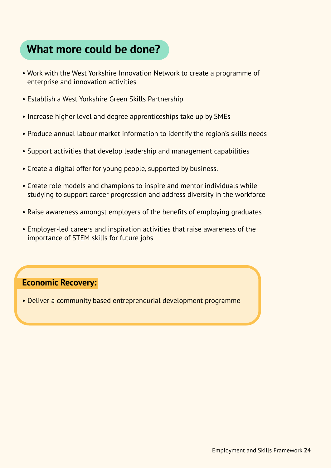## **What more could be done?**

- Work with the West Yorkshire Innovation Network to create a programme of enterprise and innovation activities
- Establish a West Yorkshire Green Skills Partnership
- Increase higher level and degree apprenticeships take up by SMEs
- Produce annual labour market information to identify the region's skills needs
- Support activities that develop leadership and management capabilities
- Create a digital offer for young people, supported by business.
- Create role models and champions to inspire and mentor individuals while studying to support career progression and address diversity in the workforce
- Raise awareness amongst employers of the benefits of employing graduates
- Employer-led careers and inspiration activities that raise awareness of the importance of STEM skills for future jobs

### **Economic Recovery:**

• Deliver a community based entrepreneurial development programme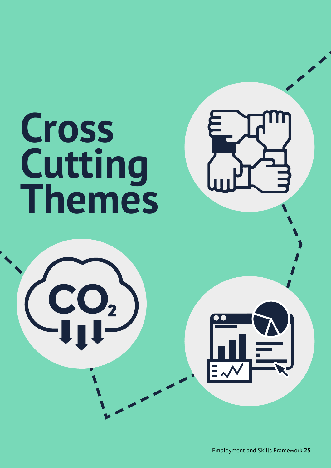<span id="page-24-0"></span>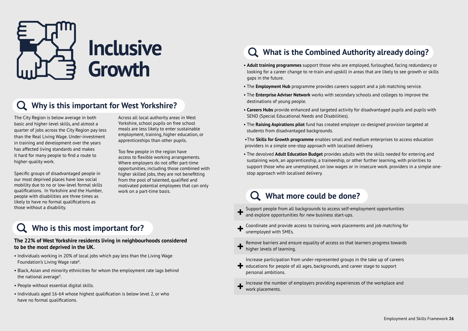The City Region is below average in both basic and higher-level skills, and almost a quarter of jobs across the City Region pay less than the Real Living Wage. Under-investment in training and development over the years has affected living standards and makes it hard for many people to find a route to higher-quality work.

Specific groups of disadvantaged people in our most deprived places have low social mobility due to no or low-level formal skills qualifications. In Yorkshire and the Humber, people with disabilities are three times as likely to have no formal qualifications as those without a disability.

Across all local authority areas in West Yorkshire, school pupils on free school meals are less likely to enter sustainable employment, training, higher education, or apprenticeships than other pupils.

Too few people in the region have access to flexible working arrangements. Where employers do not offer part-time opportunities, including those combined with higher skilled jobs, they are not benefitting from the pool of talented, qualified and motivated potential employees that can only work on a part-time basis.

<span id="page-25-0"></span>

## **Why is this important for West Yorkshire?**

## **Who is this most important for?**

#### **The 22% of West Yorkshire residents living in neighbourhoods considered to be the most deprived in the UK.**

- Individuals working in 20% of local jobs which pay less than the Living Wage Foundation's Living Wage rate<sup>8</sup>.
- Black, Asian and minority ethnicities for whom the employment rate lags behind the national average<sup>9</sup>.
- People without essential digital skills.
- Individuals aged 16-64 whose highest qualification is below level 2, or who have no formal qualifications.

## **What is the Combined Authority already doing?**

- **Adult training programmes** support those who are employed, furloughed, facing redundancy or looking for a career change to re-train and upskill in areas that are likely to see growth or skills gaps in the future.
- The **Employment Hub** programme provides careers support and a job matching service.
- The **Enterprise Adviser Network** works with secondary schools and colleges to improve the destinations of young people.
- **Careers Hubs** provide enhanced and targeted activity for disadvantaged pupils and pupils with SEND (Special Educational Needs and Disabilities).
- The **Raising Aspirations pilot** fund has created employer co-designed provision targeted at students from disadvantaged backgrounds.
- •The **Skills for Growth programme** enables small and medium enterprises to access education providers in a simple one-stop approach with localised delivery.
- The devolved **Adult Education Budget** provides adults with the skills needed for entering and sustaining work, an apprenticeship, a traineeship, or other further learning, with priorities to support those who are unemployed, on low wages or in insecure work. providers in a simple onestop approach with localised delivery.

## **What more could be done?**

- Support people from all backgrounds to access self-employment opportunities and explore opportunities for new business start-ups. **+**
- Coordinate and provide access to training, work placements and job matching for unemployed with SMEs. **+**
- Remove barriers and ensure equality of access so that learners progress towards **+** Remove barriers and ensemble higher levels of learning.
- Increase participation from under-represented groups in the take up of careers educations for people of all ages, backgrounds, and career stage to support personal ambitions. **+**

Increase the number of employers providing experiences of the workplace and work placements.

**+**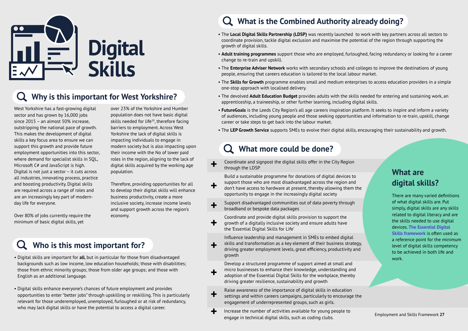- Digital skills are important for **all**, but in particular for those from disadvantaged backgrounds such as low income, low education households; those with disabilities; those from ethnic minority groups; those from older age groups; and those with English as an additional language.
- Digital skills enhance everyone's chances of future employment and provides opportunities to enter "better jobs" through upskilling or reskilling. This is particularly relevant for those underemployed, unemployed, furloughed or at risk of redundancy, who may lack digital skills or have the potential to access a digital career.

West Yorkshire has a fast-growing digital sector and has grown by 16,000 jobs since 2015 – an almost 50% increase, outstripping the national pace of growth. This makes the development of digital skills a key focus area to ensure we can support this growth and provide future employment opportunities into this sector, where demand for specialist skills in SQL, Microsoft C# and JavaScript is high. Digital is not just a sector – it cuts across all industries, innovating process, practice and boosting productivity. Digital skills are required across a range of roles and are an increasingly key part of modernday life for everyone.

Over 80% of jobs currently require the minimum of basic digital skills, yet

over 23% of the Yorkshire and Humber population does not have basic digital skills needed for life $10$ , therefore facing barriers to employment. Across West Yorkshire the lack of digital skills is impacting individuals to engage in modern society but is also impacting upon their income with the No of lower paid roles in the region, aligning to the lack of digital skills acquired by the working age population.

#### **What more could be done?**  $\Omega$

Therefore, providing opportunities for all to develop their digital skills will enhance business productivity, create a more inclusive society, increase income levels and support growth across the region's economy.

<span id="page-26-0"></span>

## **Why is this important for West Yorkshire?**

## **Who is this most important for?**

## **What is the Combined Authority already doing?**

- Raise awareness of the importance of digital skills in education settings and within careers campaigns, particularly to encourage the engagement of underrepresented groups, such as girls. **+**
- Increase the number of activities available for young people to engage in technical digital skills, such as coding clubs. **+** Increase the number of activities available for young people to<br>engage in technical digital skills such as coding clubs<br>engage in technical digital skills such as coding clubs



- The **Local Digital Skills Partnership (LDSP)** was recently launched to work with key partners across all sectors to coordinate provision, tackle digital exclusion and maximise the potential of the region through supporting the growth of digital skills.
- **Adult training programmes** support those who are employed, furloughed, facing redundancy or looking for a career change to re-train and upskill.
- The **Enterprise Adviser Network** works with secondary schools and colleges to improve the destinations of young people, ensuring that careers education is tailored to the local labour market.
- The **Skills for Growth** programme enables small and medium enterprises to access education providers in a simple one-stop approach with localised delivery.
- The devolved **Adult Education Budget** provides adults with the skills needed for entering and sustaining work, an apprenticeship, a traineeship, or other further learning, including digital skills.
- **FutureGoals** is the Leeds City Region's all age careers inspiration platform. It seeks to inspire and inform a variety of audiences, including young people and those seeking opportunities and information to re-train, upskill, change career or take steps to get back into the labour market.
- The **LEP Growth Service** supports SMEs to evolve their digital skills, encouraging their sustainability and growth.

- Coordinate and signpost the digital skills offer in the City Region through the LDSP **+**
- Build a sustainable programme for donations of digital devices to support those who are most disadvantaged across the region and don't have access to hardware at present, thereby allowing them the opportunity to engage in the increasingly digital society **+**
- Support disadvantaged communities out of data poverty through broadband or bespoke data packages **+**
- Coordinate and provide digital skills provision to support the growth of a digitally inclusive society and ensure adults have the 'Essential Digital Skills for Life' **+**
- Influence leadership and management in SMEs to embed digital skills and transformation as a key element of their business strategy, driving greater employment levels, great efficiency, productivity and growth **+**
	- Develop a structured programme of support aimed at small and micro businesses to enhance their knowledge, understanding and adoption of the Essential Digital Skills for the workplace, thereby driving greater resilience, sustainability and growth

**+**

There are many varied definitions of what digital skills are. Put simply, digital skills are any skills related to digital literacy and are the skills needed to use digital devices. **[The Essential Digital](https://www.gov.uk/government/publications/essential-digital-skills-framework/essential-digital-skills-framework)  [Skills framework](https://www.gov.uk/government/publications/essential-digital-skills-framework/essential-digital-skills-framework)** is often used as a reference point for the minimum level of digital skills competency to be achieved in both life and work.

## **What are digital skills?**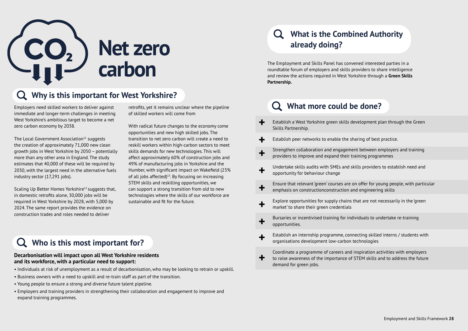Employers need skilled workers to deliver against immediate and longer-term challenges in meeting West Yorkshire's ambitious target to become a net zero carbon economy by 2038.

The Local Government Association $11$  suggests the creation of approximately 71,000 new clean growth jobs in West Yorkshire by 2050 – potentially more than any other area in England. The study estimates that 40,000 of these will be required by 2030, with the largest need in the alternative fuels industry sector (17,291 jobs).

Scaling Up Better Homes Yorkshire<sup>12</sup> suggests that, in domestic retrofits alone, 30,000 jobs will be required in West Yorkshire by 2028, with 5,000 by 2024. The same report provides the evidence on construction trades and roles needed to deliver

retrofits, yet it remains unclear where the pipeline of skilled workers will come from

With radical future changes to the economy come opportunities and new high skilled jobs. The transition to net zero carbon will create a need to reskill workers within high-carbon sectors to meet skills demands for new technologies. This will affect approximately 60% of construction jobs and 49% of manufacturing jobs in Yorkshire and the Humber, with significant impact on Wakefield (23% of all jobs affected) $13$ . By focusing on increasing STEM skills and reskilling opportunities, we can support a strong transition from old to new technologies where the skills of our workforce are sustainable and fit for the future.

<span id="page-27-0"></span>

## **Why is this important for West Yorkshire?**

## **Who is this most important for?**

#### **Decarbonisation will impact upon all West Yorkshire residents and its workforce, with a particular need to support:**

- Individuals at risk of unemployment as a result of decarbonisation, who may be looking to retrain or upskill.
- Business owners with a need to upskill and re-train staff as part of the transition.
- Young people to ensure a strong and diverse future talent pipeline.
- Employers and training providers in strengthening their collaboration and engagement to improve and expand training programmes.

## **What is the Combined Authority already doing?**

The Employment and Skills Panel has convened interested parties in a roundtable forum of employers and skills providers to share intelligence and review the actions required in West Yorkshire through a **Green Skills Partnership.**

## **What more could be done?**

| ╈           | Establish a West Yorkshire green skills d<br>Skills Partnership.                                          |
|-------------|-----------------------------------------------------------------------------------------------------------|
| $\div$      | Establish peer networks to enable the sh                                                                  |
| $\ddagger$  | Strengthen collaboration and engageme<br>providers to improve and expand their ti                         |
| $\mathbf +$ | Undertake skills audits with SMEs and sl<br>opportunity for behaviour change                              |
| $\ddot{}$   | Ensure that relevant 'green' courses are o<br>emphasis on constructionconstruction ar                     |
| ╋           | Explore opportunities for supply chains<br>market' to share their green credentials                       |
| $\ddag$     | Bursaries or incentivised training for ind<br>opportunities.                                              |
| $\mathbf +$ | Establish an internship programme, conr<br>organisations development low-carbon t                         |
|             | Coordinate a programme of careers and<br>to raise awareness of the importance of<br>domand for groon ichs |

demand for green jobs.

evelopment plan through the Green

haring of best practice.

Int between employers and training raining programmes

kills providers to establish need and

on offer for young people, with particular nd engineering skills

that are not necessarily in the 'green

lividuals to undertake re-training

necting skilled interns / students with technologies

inspiration activities with employers STEM skills and to address the future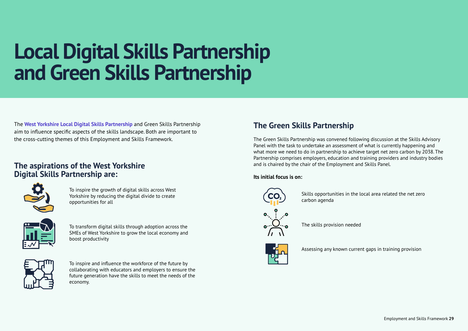## **Local Digital Skills Partnership and Green Skills Partnership**

The **[West Yorkshire Local Digital Skills Partnership](https://www.westyorks-ca.gov.uk/west-yorkshire-local-digital-skills-partnership/)** and Green Skills Partnership aim to influence specific aspects of the skills landscape. Both are important to the cross-cutting themes of this Employment and Skills Framework.

### **The aspirations of the West Yorkshire Digital Skills Partnership are:**



To inspire the growth of digital skills across West Yorkshire by reducing the digital divide to create opportunities for all



To transform digital skills through adoption across the SMEs of West Yorkshire to grow the local economy and boost productivity



To inspire and influence the workforce of the future by collaborating with educators and employers to ensure the future generation have the skills to meet the needs of the economy.

The Green Skills Partnership was convened following discussion at the Skills Advisory Panel with the task to undertake an assessment of what is currently happening and what more we need to do in partnership to achieve target net zero carbon by 2038. The Partnership comprises employers, education and training providers and industry bodies and is chaired by the chair of the Employment and Skills Panel.

#### **Its initial focus is on:**



## **The Green Skills Partnership**

Skills opportunities in the local area related the net zero

carbon agenda



The skills provision needed



Assessing any known current gaps in training provision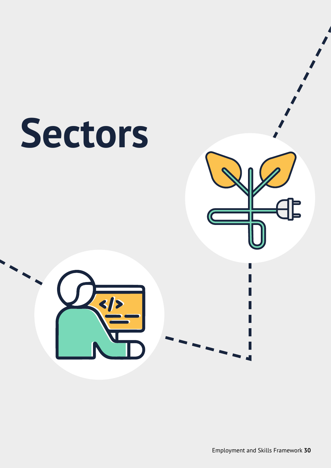<span id="page-29-0"></span>

Employment and Skills Framework **30**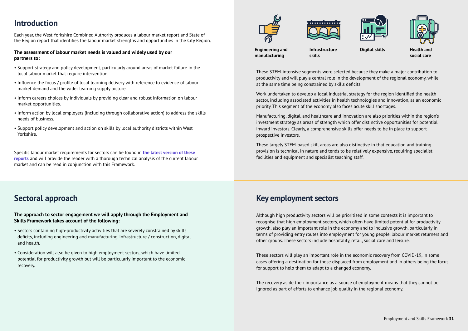These STEM-intensive segments were selected because they make a major contribution to productivity and will play a central role in the development of the regional economy, while at the same time being constrained by skills deficits.

Work undertaken to develop a local industrial strategy for the region identified the health sector, including associated activities in health technologies and innovation, as an economic priority. This segment of the economy also faces acute skill shortages.

Manufacturing, digital, and healthcare and innovation are also priorities within the region's investment strategy as areas of strength which offer distinctive opportunities for potential inward investors. Clearly, a comprehensive skills offer needs to be in place to support prospective investors.

These largely STEM-based skill areas are also distinctive in that education and training provision is technical in nature and tends to be relatively expensive, requiring specialist facilities and equipment and specialist teaching staff.

Each year, the West Yorkshire Combined Authority produces a labour market report and State of the Region report that identifies the labour market strengths and opportunities in the City Region.

#### **The assessment of labour market needs is valued and widely used by our partners to:**

- Support strategy and policy development, particularly around areas of market failure in the local labour market that require intervention.
- Influence the focus / profile of local learning delivery with reference to evidence of labour market demand and the wider learning supply picture.
- Inform careers choices by individuals by providing clear and robust information on labour market opportunities.
- Inform action by local employers (including through collaborative action) to address the skills needs of business.
- Support policy development and action on skills by local authority districts within West Yorkshire.

Specific labour market requirements for sectors can be found in **[the latest version of these](https://www.westyorks-ca.gov.uk/growing-the-economy/strategic-economic-framework/policies-and-strategies/employment-and-skills/)  [reports](https://www.westyorks-ca.gov.uk/growing-the-economy/strategic-economic-framework/policies-and-strategies/employment-and-skills/)** and will provide the reader with a thorough technical analysis of the current labour market and can be read in conjunction with this Framework.

## **Introduction**

## **Sectoral approach**

#### **The approach to sector engagement we will apply through the Employment and Skills Framework takes account of the following:**

- Sectors containing high-productivity activities that are severely constrained by skills deficits, including engineering and manufacturing, infrastructure / construction, digital and health.
- Consideration will also be given to high employment sectors, which have limited potential for productivity growth but will be particularly important to the economic recovery.





Although high productivity sectors will be prioritised in some contexts it is important to recognise that high employment sectors, which often have limited potential for productivity growth, also play an important role in the economy and to inclusive growth, particularly in terms of providing entry routes into employment for young people, labour market returners and other groups. These sectors include hospitality, retail, social care and leisure.

These sectors will play an important role in the economic recovery from COVID-19, in some cases offering a destination for those displaced from employment and in others being the focus for support to help them to adapt to a changed economy.

The recovery aside their importance as a source of employment means that they cannot be ignored as part of efforts to enhance job quality in the regional economy.





**Digital skills Health and** 

## **Key employment sectors**

**Engineering and manufacturing** 

**Infrastructure skills** 

**social care**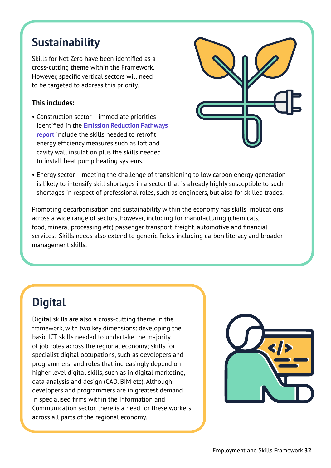## **Sustainability**

Skills for Net Zero have been identified as a cross-cutting theme within the Framework. However, specific vertical sectors will need to be targeted to address this priority.

#### **This includes:**

• Construction sector – immediate priorities identified in the **[Emission Reduction Pathways](https://www.westyorks-ca.gov.uk/growing-the-economy/tackling-the-climate-emergency/tackling-the-climate-emergency-in-the-leeds-city-region/)  [report](https://www.westyorks-ca.gov.uk/growing-the-economy/tackling-the-climate-emergency/tackling-the-climate-emergency-in-the-leeds-city-region/)** include the skills needed to retrofit energy efficiency measures such as loft and cavity wall insulation plus the skills needed to install heat pump heating systems.



• Energy sector – meeting the challenge of transitioning to low carbon energy generation is likely to intensify skill shortages in a sector that is already highly susceptible to such shortages in respect of professional roles, such as engineers, but also for skilled trades.

Promoting decarbonisation and sustainability within the economy has skills implications across a wide range of sectors, however, including for manufacturing (chemicals, food, mineral processing etc) passenger transport, freight, automotive and financial services. Skills needs also extend to generic fields including carbon literacy and broader management skills.

## **Digital**

Digital skills are also a cross-cutting theme in the framework, with two key dimensions: developing the basic ICT skills needed to undertake the majority of job roles across the regional economy; skills for specialist digital occupations, such as developers and programmers; and roles that increasingly depend on higher level digital skills, such as in digital marketing, data analysis and design (CAD, BIM etc). Although developers and programmers are in greatest demand in specialised firms within the Information and Communication sector, there is a need for these workers across all parts of the regional economy.

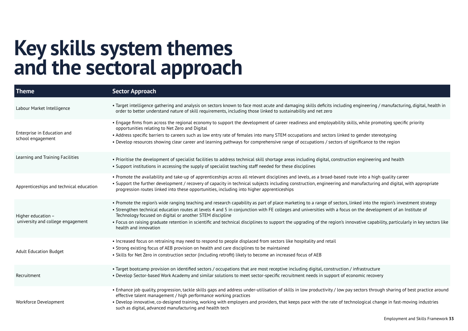## **Key skills system themes and the sectoral approach**

• Promote the availability and take-up of apprenticeships across all relevant disciplines and levels, as a broad-based route into a high quality career manufacturing and digital, with appropriate

nked into the region's investment strategy on the development of an Institute of

ovative capability, particularly in key sectors like

sectors through sharing of best practice around

nological change in fast-moving industries

| Theme                                                     | <b>Sector Approach</b>                                                                                                                                                                                                                                                                                                                                                                                                                                                                                                                                  |
|-----------------------------------------------------------|---------------------------------------------------------------------------------------------------------------------------------------------------------------------------------------------------------------------------------------------------------------------------------------------------------------------------------------------------------------------------------------------------------------------------------------------------------------------------------------------------------------------------------------------------------|
| Labour Market Intelligence                                | • Target intelligence gathering and analysis on sectors known to face most acute and damaging skills deficits including engineering / manufactui<br>order to better understand nature of skill requirements, including those linked to sustainability and net zero                                                                                                                                                                                                                                                                                      |
| Enterprise in Education and<br>school engagement          | • Engage firms from across the regional economy to support the development of career readiness and employability skills, while promoting speci<br>opportunities relating to Net Zero and Digital<br>• Address specific barriers to careers such as low entry rate of females into many STEM occupations and sectors linked to gender stereotyping<br>• Develop resources showing clear career and learning pathways for comprehensive range of occupations / sectors of significance to the region                                                      |
| Learning and Training Facilities                          | • Prioritise the development of specialist facilities to address technical skill shortage areas including digital, construction engineering and health<br>• Support institutions in accessing the supply of specialist teaching staff needed for these disciplines                                                                                                                                                                                                                                                                                      |
| Apprenticeships and technical education                   | • Promote the availability and take-up of apprenticeships across all relevant disciplines and levels, as a broad-based route into a high quality care<br>• Support the further development / recovery of capacity in technical subjects including construction, engineering and manufacturing and digital,<br>progression routes linked into these opportunities, including into higher apprenticeships                                                                                                                                                 |
| Higher education $-$<br>university and college engagement | • Promote the region's wide ranging teaching and research capability as part of place marketing to a range of sectors, linked into the region's inve<br>• Strengthen technical education routes at levels 4 and 5 in conjunction with FE colleges and universities with a focus on the development of an<br>Technology focused on digital or another STEM discipline<br>• Focus on raising graduate retention in scientific and technical disciplines to support the upgrading of the region's innovative capability, particul<br>health and innovation |
| <b>Adult Education Budget</b>                             | • Increased focus on retraining may need to respond to people displaced from sectors like hospitality and retail<br>• Strong existing focus of AEB provision on health and care disciplines to be maintained<br>• Skills for Net Zero in construction sector (including retrofit) likely to become an increased focus of AEB                                                                                                                                                                                                                            |
| Recruitment                                               | • Target bootcamp provision on identified sectors / occupations that are most receptive including digital, construction / infrastructure<br>• Develop Sector-based Work Academy and similar solutions to meet sector-specific recruitment needs in support of economic recovery                                                                                                                                                                                                                                                                         |
| Workforce Development                                     | • Enhance job quality, progression, tackle skills gaps and address under-utilisation of skills in low productivity / low pay sectors through sharing or<br>effective talent management / high performance working practices<br>• Develop innovative, co-designed training, working with employers and providers, that keeps pace with the rate of technological change in fast-r<br>such as digital, advanced manufacturing and health tech                                                                                                             |

engineering / manufacturing, digital, health in

Ils, while promoting specific priority

Employment and Skills Framework **33**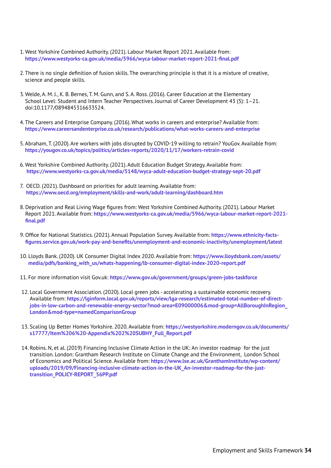- 1. West Yorkshire Combined Authority. (2021). Labour Market Report 2021. Available from: **<https://www.westyorks-ca.gov.uk/media/5966/wyca-labour-market-report-2021-final.pdf>**
- 2. There is no single definition of fusion skills. The overarching principle is that it is a mixture of creative, science and people skills.
- 3. Welde, A. M. J., K. B. Bernes, T. M. Gunn, and S. A. Ross. (2016). Career Education at the Elementary School Level: Student and Intern Teacher Perspectives. Journal of Career Development 43 (5): 1–21. doi:10.1177/0894845316633524.
- 4. The Careers and Enterprise Company. (2016). What works in careers and enterprise? Available from: **[https://www.careersandenterprise.co.uk/research/publications/what-works-careers-and-enterprise](https://www.careersandenterprise.co.uk/research/publications/what-works-careers-and-enterprise 
)**
- 5. Abraham, T. (2020). Are workers with jobs disrupted by COVID-19 willing to retrain? YouGov. Available from: **[https://yougov.co.uk/topics/politics/articles-reports/2020/11/17/workers-retrain-covid](https://yougov.co.uk/topics/politics/articles-reports/2020/11/17/workers-retrain-covid 
)**
- 6. West Yorkshire Combined Authority. (2021). Adult Education Budget Strategy. Available from:  **[https://www.westyorks-ca.gov.uk/media/5148/wyca-adult-education-budget-strategy-sept-20.pdf](https://www.westyorks-ca.gov.uk/media/5148/wyca-adult-education-budget-strategy-sept-20.pdf
)**
- 7. OECD. (2021). Dashboard on priorities for adult learning. Available from: **<https://www.oecd.org/employment/skills-and-work/adult-learning/dashboard.htm>**
- 8. Deprivation and Real Living Wage figures from: West Yorkshire Combined Authority. (2021). Labour Market Report 2021. Available from: **[https://www.westyorks-ca.gov.uk/media/5966/wyca-labour-market-report-2021](https://www.westyorks-ca.gov.uk/media/5966/wyca-labour-market-report-2021-final.pdf) [final.pdf](https://www.westyorks-ca.gov.uk/media/5966/wyca-labour-market-report-2021-final.pdf)**
- 9. Office for National Statistics. (2021). Annual Population Survey. Available from: **[https://www.ethnicity-facts](https://www.ethnicity-facts-figures.service.gov.uk/work-pay-and-benefits/unemployment-and-economic-inactivity/unemployment/latest)[figures.service.gov.uk/work-pay-and-benefits/unemployment-and-economic-inactivity/unemployment/latest](https://www.ethnicity-facts-figures.service.gov.uk/work-pay-and-benefits/unemployment-and-economic-inactivity/unemployment/latest)**
- 10. Lloyds Bank. (2020). UK Consumer Digital Index 2020. Available from: **[https://www.lloydsbank.com/assets/](https://www.lloydsbank.com/assets/media/pdfs/banking_with_us/whats-happening/lb-consumer-digital-index-2020-report.pdf) [media/pdfs/banking\\_with\\_us/whats-happening/lb-consumer-digital-index-2020-report.pdf](https://www.lloydsbank.com/assets/media/pdfs/banking_with_us/whats-happening/lb-consumer-digital-index-2020-report.pdf)**
- 11. For more information visit Gov.uk: **[https://www.gov.uk/government/groups/green-jobs-taskforce](https://www.gov.uk/government/groups/green-jobs-taskforce )**
- 12. Local Government Association. (2020). Local green jobs accelerating a sustainable economic recovery. Available from: **[https://lginform.local.gov.uk/reports/view/lga-research/estimated-total-number-of-direct](https://lginform.local.gov.uk/reports/view/lga-research/estimated-total-number-of-direct-jobs-in-low-carbon-and-renewable-energy-sector?mod-area=E09000006&mod-group=AllBoroughInRegion_London&mod-type=namedComparisonGroup)[jobs-in-low-carbon-and-renewable-energy-sector?mod-area=E09000006&mod-group=AllBoroughInRegion\\_](https://lginform.local.gov.uk/reports/view/lga-research/estimated-total-number-of-direct-jobs-in-low-carbon-and-renewable-energy-sector?mod-area=E09000006&mod-group=AllBoroughInRegion_London&mod-type=namedComparisonGroup) [London&mod-type=namedComparisonGroup](https://lginform.local.gov.uk/reports/view/lga-research/estimated-total-number-of-direct-jobs-in-low-carbon-and-renewable-energy-sector?mod-area=E09000006&mod-group=AllBoroughInRegion_London&mod-type=namedComparisonGroup)**
- 13. Scaling Up Better Homes Yorkshire. 2020. Available from: **[https://westyorkshire.moderngov.co.uk/documents/](https://westyorkshire.moderngov.co.uk/documents/s17777/Item%206%20-Appendix%202%20SUBHY_Full_Report.pdf ) [s17777/Item%206%20-Appendix%202%20SUBHY\\_Full\\_Report.pdf](https://westyorkshire.moderngov.co.uk/documents/s17777/Item%206%20-Appendix%202%20SUBHY_Full_Report.pdf )**
- 14. Robins. N, et al. (2019) Financing Inclusive Climate Action in the UK: An investor roadmap for the just transition. London: Grantham Research Institute on Climate Change and the Environment, London School of Economics and Political Science. Available from: **[https://www.lse.ac.uk/GranthamInstitute/wp-content/](https://www.lse.ac.uk/GranthamInstitute/wp-content/uploads/2019/09/Financing-inclusive-climate-action-in-the-UK_An-investor-roadmap-for-the-just-transition_POLICY-REPORT_56PP.pdf 
 
) [uploads/2019/09/Financing-inclusive-climate-action-in-the-UK\\_An-investor-roadmap-for-the-just](https://www.lse.ac.uk/GranthamInstitute/wp-content/uploads/2019/09/Financing-inclusive-climate-action-in-the-UK_An-investor-roadmap-for-the-just-transition_POLICY-REPORT_56PP.pdf 
 
)[transition\\_POLICY-REPORT\\_56PP.pdf](https://www.lse.ac.uk/GranthamInstitute/wp-content/uploads/2019/09/Financing-inclusive-climate-action-in-the-UK_An-investor-roadmap-for-the-just-transition_POLICY-REPORT_56PP.pdf 
 
)**